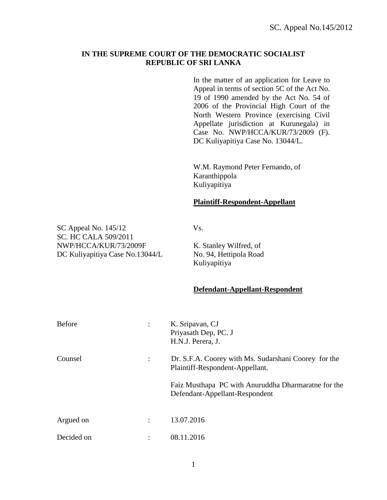## **IN THE SUPREME COURT OF THE DEMOCRATIC SOCIALIST REPUBLIC OF SRI LANKA**

In the matter of an application for Leave to Appeal in terms of section 5C of the Act No. 19 of 1990 amended by the Act No. 54 of 2006 of the Provincial High Court of the North Western Province (exercising Civil Appellate jurisdiction at Kurunegala) in Case No. NWP/HCCA/KUR/73/2009 (F). DC Kuliyapitiya Case No. 13044/L.

W.M. Raymond Peter Fernando, of Karanthippola Kuliyapitiya

## **Plaintiff-Respondent-Appellant**

SC Appeal No. 145/12 Vs. SC. HC CALA 509/2011 NWP/HCCA/KUR/73/2009F K. Stanley Wilfred, of DC Kuliyapitiya Case No.13044/L No. 94, Hettipola Road

Kuliyapitiya

## **Defendant-Appellant-Respondent**

| <b>Before</b> |                      | K. Sripavan, CJ<br>Priyasath Dep, PC. J<br>H.N.J. Perera, J.                            |
|---------------|----------------------|-----------------------------------------------------------------------------------------|
| Counsel       | $\ddot{\phantom{a}}$ | Dr. S.F.A. Coorey with Ms. Sudarshani Coorey for the<br>Plaintiff-Respondent-Appellant. |
|               |                      | Faiz Musthapa PC with Anuruddha Dharmaratne for the<br>Defendant-Appellant-Respondent   |
| Argued on     |                      | 13.07.2016                                                                              |
| Decided on    | ٠                    | 08.11.2016                                                                              |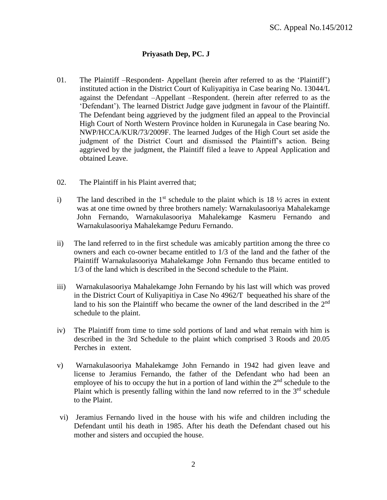## **Priyasath Dep, PC. J**

- 01. The Plaintiff –Respondent- Appellant (herein after referred to as the 'Plaintiff') instituted action in the District Court of Kuliyapitiya in Case bearing No. 13044/L against the Defendant –Appellant –Respondent. (herein after referred to as the 'Defendant'). The learned District Judge gave judgment in favour of the Plaintiff. The Defendant being aggrieved by the judgment filed an appeal to the Provincial High Court of North Western Province holden in Kurunegala in Case bearing No. NWP/HCCA/KUR/73/2009F. The learned Judges of the High Court set aside the judgment of the District Court and dismissed the Plaintiff's action. Being aggrieved by the judgment, the Plaintiff filed a leave to Appeal Application and obtained Leave.
- 02. The Plaintiff in his Plaint averred that;
- i) The land described in the  $1<sup>st</sup>$  schedule to the plaint which is  $18\frac{1}{2}$  acres in extent was at one time owned by three brothers namely: Warnakulasooriya Mahalekamge John Fernando, Warnakulasooriya Mahalekamge Kasmeru Fernando and Warnakulasooriya Mahalekamge Peduru Fernando.
- ii) The land referred to in the first schedule was amicably partition among the three co owners and each co-owner became entitled to 1/3 of the land and the father of the Plaintiff Warnakulasooriya Mahalekamge John Fernando thus became entitled to 1/3 of the land which is described in the Second schedule to the Plaint.
- iii) Warnakulasooriya Mahalekamge John Fernando by his last will which was proved in the District Court of Kuliyapitiya in Case No 4962/T bequeathed his share of the land to his son the Plaintiff who became the owner of the land described in the 2<sup>nd</sup> schedule to the plaint.
- iv) The Plaintiff from time to time sold portions of land and what remain with him is described in the 3rd Schedule to the plaint which comprised 3 Roods and 20.05 Perches in extent.
- v) Warnakulasooriya Mahalekamge John Fernando in 1942 had given leave and license to Jeramius Fernando, the father of the Defendant who had been an employee of his to occupy the hut in a portion of land within the  $2<sup>nd</sup>$  schedule to the Plaint which is presently falling within the land now referred to in the  $3<sup>rd</sup>$  schedule to the Plaint.
- vi) Jeramius Fernando lived in the house with his wife and children including the Defendant until his death in 1985. After his death the Defendant chased out his mother and sisters and occupied the house.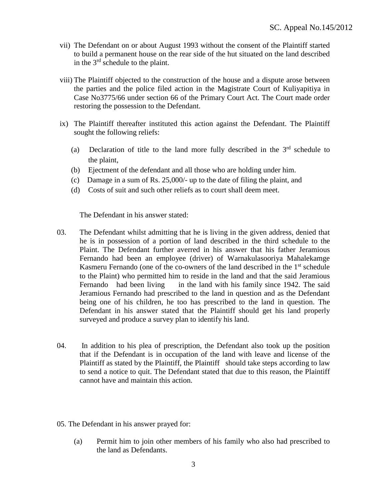- vii) The Defendant on or about August 1993 without the consent of the Plaintiff started to build a permanent house on the rear side of the hut situated on the land described in the 3<sup>rd</sup> schedule to the plaint.
- viii) The Plaintiff objected to the construction of the house and a dispute arose between the parties and the police filed action in the Magistrate Court of Kuliyapitiya in Case No3775/66 under section 66 of the Primary Court Act. The Court made order restoring the possession to the Defendant.
- ix) The Plaintiff thereafter instituted this action against the Defendant. The Plaintiff sought the following reliefs:
	- (a) Declaration of title to the land more fully described in the  $3<sup>rd</sup>$  schedule to the plaint,
	- (b) Ejectment of the defendant and all those who are holding under him.
	- (c) Damage in a sum of Rs. 25,000/- up to the date of filing the plaint, and
	- (d) Costs of suit and such other reliefs as to court shall deem meet.

The Defendant in his answer stated:

- 03. The Defendant whilst admitting that he is living in the given address, denied that he is in possession of a portion of land described in the third schedule to the Plaint. The Defendant further averred in his answer that his father Jeramious Fernando had been an employee (driver) of Warnakulasooriya Mahalekamge Kasmeru Fernando (one of the co-owners of the land described in the  $1<sup>st</sup>$  schedule to the Plaint) who permitted him to reside in the land and that the said Jeramious Fernando had been living in the land with his family since 1942. The said Jeramious Fernando had prescribed to the land in question and as the Defendant being one of his children, he too has prescribed to the land in question. The Defendant in his answer stated that the Plaintiff should get his land properly surveyed and produce a survey plan to identify his land.
- 04. In addition to his plea of prescription, the Defendant also took up the position that if the Defendant is in occupation of the land with leave and license of the Plaintiff as stated by the Plaintiff, the Plaintiff should take steps according to law to send a notice to quit. The Defendant stated that due to this reason, the Plaintiff cannot have and maintain this action.
- 05. The Defendant in his answer prayed for:
	- (a) Permit him to join other members of his family who also had prescribed to the land as Defendants.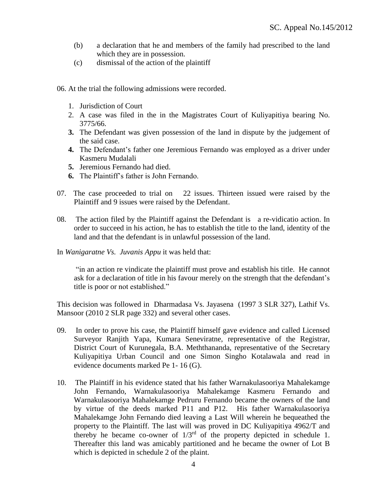- (b) a declaration that he and members of the family had prescribed to the land which they are in possession.
- (c) dismissal of the action of the plaintiff
- 06. At the trial the following admissions were recorded.
	- 1. Jurisdiction of Court
	- 2. A case was filed in the in the Magistrates Court of Kuliyapitiya bearing No. 3775/66.
	- **3.** The Defendant was given possession of the land in dispute by the judgement of the said case.
	- **4.** The Defendant's father one Jeremious Fernando was employed as a driver under Kasmeru Mudalali
	- **5.** Jeremious Fernando had died.
	- **6.** The Plaintiff's father is John Fernando.
- 07. The case proceeded to trial on 22 issues. Thirteen issued were raised by the Plaintiff and 9 issues were raised by the Defendant.
- 08. The action filed by the Plaintiff against the Defendant is a re-vidicatio action. In order to succeed in his action, he has to establish the title to the land, identity of the land and that the defendant is in unlawful possession of the land.
- In *Wanigaratne Vs. Juvanis Appu* it was held that:

"in an action re vindicate the plaintiff must prove and establish his title. He cannot ask for a declaration of title in his favour merely on the strength that the defendant's title is poor or not established."

This decision was followed in Dharmadasa Vs. Jayasena (1997 3 SLR 327), Lathif Vs. Mansoor (2010 2 SLR page 332) and several other cases.

- 09. In order to prove his case, the Plaintiff himself gave evidence and called Licensed Surveyor Ranjith Yapa, Kumara Seneviratne, representative of the Registrar, District Court of Kurunegala, B.A. Meththananda, representative of the Secretary Kuliyapitiya Urban Council and one Simon Singho Kotalawala and read in evidence documents marked Pe 1- 16 (G).
- 10. The Plaintiff in his evidence stated that his father Warnakulasooriya Mahalekamge John Fernando, Warnakulasooriya Mahalekamge Kasmeru Fernando and Warnakulasooriya Mahalekamge Pedruru Fernando became the owners of the land by virtue of the deeds marked P11 and P12. His father Warnakulasooriya Mahalekamge John Fernando died leaving a Last Will wherein he bequeathed the property to the Plaintiff. The last will was proved in DC Kuliyapitiya 4962/T and thereby he became co-owner of 1/3rd of the property depicted in schedule 1. Thereafter this land was amicably partitioned and he became the owner of Lot B which is depicted in schedule 2 of the plaint.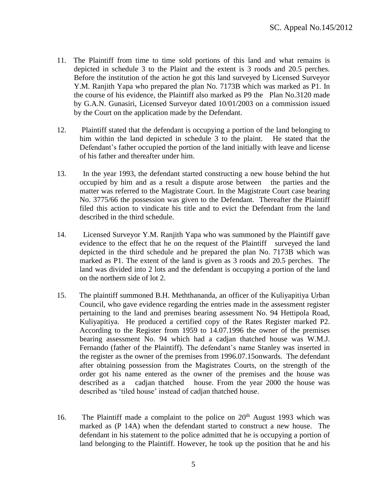- 11. The Plaintiff from time to time sold portions of this land and what remains is depicted in schedule 3 to the Plaint and the extent is 3 roods and 20.5 perches. Before the institution of the action he got this land surveyed by Licensed Surveyor Y.M. Ranjith Yapa who prepared the plan No. 7173B which was marked as P1. In the course of his evidence, the Plaintiff also marked as P9 the Plan No.3120 made by G.A.N. Gunasiri, Licensed Surveyor dated 10/01/2003 on a commission issued by the Court on the application made by the Defendant.
- 12. Plaintiff stated that the defendant is occupying a portion of the land belonging to him within the land depicted in schedule 3 to the plaint. He stated that the Defendant's father occupied the portion of the land initially with leave and license of his father and thereafter under him.
- 13. In the year 1993, the defendant started constructing a new house behind the hut occupied by him and as a result a dispute arose between the parties and the matter was referred to the Magistrate Court. In the Magistrate Court case bearing No. 3775/66 the possession was given to the Defendant. Thereafter the Plaintiff filed this action to vindicate his title and to evict the Defendant from the land described in the third schedule.
- 14. Licensed Surveyor Y.M. Ranjith Yapa who was summoned by the Plaintiff gave evidence to the effect that he on the request of the Plaintiff surveyed the land depicted in the third schedule and he prepared the plan No. 7173B which was marked as P1. The extent of the land is given as 3 roods and 20.5 perches. The land was divided into 2 lots and the defendant is occupying a portion of the land on the northern side of lot 2.
- 15. The plaintiff summoned B.H. Meththananda, an officer of the Kuliyapitiya Urban Council, who gave evidence regarding the entries made in the assessment register pertaining to the land and premises bearing assessment No. 94 Hettipola Road, Kuliyapitiya. He produced a certified copy of the Rates Register marked P2. According to the Register from 1959 to 14.07.1996 the owner of the premises bearing assessment No. 94 which had a cadjan thatched house was W.M.J. Fernando (father of the Plaintiff). The defendant's name Stanley was inserted in the register as the owner of the premises from 1996.07.15onwards. The defendant after obtaining possession from the Magistrates Courts, on the strength of the order got his name entered as the owner of the premises and the house was described as a cadjan thatched house. From the year 2000 the house was described as 'tiled house' instead of cadjan thatched house.
- 16. The Plaintiff made a complaint to the police on  $20<sup>th</sup>$  August 1993 which was marked as (P 14A) when the defendant started to construct a new house. The defendant in his statement to the police admitted that he is occupying a portion of land belonging to the Plaintiff. However, he took up the position that he and his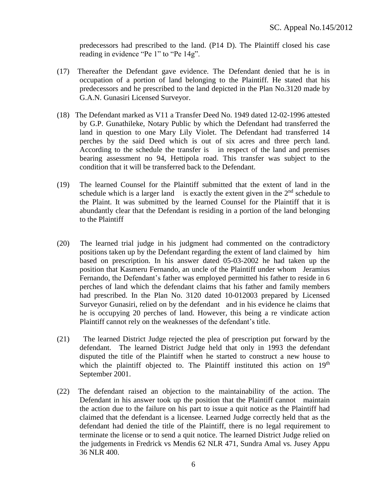predecessors had prescribed to the land. (P14 D). The Plaintiff closed his case reading in evidence "Pe 1" to "Pe 14g".

- (17) Thereafter the Defendant gave evidence. The Defendant denied that he is in occupation of a portion of land belonging to the Plaintiff. He stated that his predecessors and he prescribed to the land depicted in the Plan No.3120 made by G.A.N. Gunasiri Licensed Surveyor.
- (18) The Defendant marked as V11 a Transfer Deed No. 1949 dated 12-02-1996 attested by G.P. Gunathileke, Notary Public by which the Defendant had transferred the land in question to one Mary Lily Violet. The Defendant had transferred 14 perches by the said Deed which is out of six acres and three perch land. According to the schedule the transfer is in respect of the land and premises bearing assessment no 94, Hettipola road. This transfer was subject to the condition that it will be transferred back to the Defendant.
- (19) The learned Counsel for the Plaintiff submitted that the extent of land in the schedule which is a larger land is exactly the extent given in the  $2<sup>nd</sup>$  schedule to the Plaint. It was submitted by the learned Counsel for the Plaintiff that it is abundantly clear that the Defendant is residing in a portion of the land belonging to the Plaintiff
- (20) The learned trial judge in his judgment had commented on the contradictory positions taken up by the Defendant regarding the extent of land claimed by him based on prescription. In his answer dated 05-03-2002 he had taken up the position that Kasmeru Fernando, an uncle of the Plaintiff under whom Jeramius Fernando, the Defendant's father was employed permitted his father to reside in 6 perches of land which the defendant claims that his father and family members had prescribed. In the Plan No. 3120 dated 10-012003 prepared by Licensed Surveyor Gunasiri, relied on by the defendant and in his evidence he claims that he is occupying 20 perches of land. However, this being a re vindicate action Plaintiff cannot rely on the weaknesses of the defendant's title.
- (21) The learned District Judge rejected the plea of prescription put forward by the defendant. The learned District Judge held that only in 1993 the defendant disputed the title of the Plaintiff when he started to construct a new house to which the plaintiff objected to. The Plaintiff instituted this action on  $19<sup>th</sup>$ September 2001.
- (22) The defendant raised an objection to the maintainability of the action. The Defendant in his answer took up the position that the Plaintiff cannot maintain the action due to the failure on his part to issue a quit notice as the Plaintiff had claimed that the defendant is a licensee. Learned Judge correctly held that as the defendant had denied the title of the Plaintiff, there is no legal requirement to terminate the license or to send a quit notice. The learned District Judge relied on the judgements in Fredrick vs Mendis 62 NLR 471, Sundra Amal vs. Jusey Appu 36 NLR 400.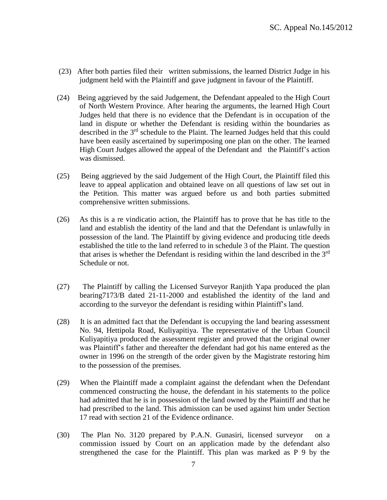- (23) After both parties filed their written submissions, the learned District Judge in his judgment held with the Plaintiff and gave judgment in favour of the Plaintiff.
- (24) Being aggrieved by the said Judgement, the Defendant appealed to the High Court of North Western Province. After hearing the arguments, the learned High Court Judges held that there is no evidence that the Defendant is in occupation of the land in dispute or whether the Defendant is residing within the boundaries as described in the 3<sup>rd</sup> schedule to the Plaint. The learned Judges held that this could have been easily ascertained by superimposing one plan on the other. The learned High Court Judges allowed the appeal of the Defendant and the Plaintiff's action was dismissed.
- (25) Being aggrieved by the said Judgement of the High Court, the Plaintiff filed this leave to appeal application and obtained leave on all questions of law set out in the Petition. This matter was argued before us and both parties submitted comprehensive written submissions.
- (26) As this is a re vindicatio action, the Plaintiff has to prove that he has title to the land and establish the identity of the land and that the Defendant is unlawfully in possession of the land. The Plaintiff by giving evidence and producing title deeds established the title to the land referred to in schedule 3 of the Plaint. The question that arises is whether the Defendant is residing within the land described in the  $3<sup>rd</sup>$ Schedule or not.
- (27) The Plaintiff by calling the Licensed Surveyor Ranjith Yapa produced the plan bearing7173/B dated 21-11-2000 and established the identity of the land and according to the surveyor the defendant is residing within Plaintiff's land.
- (28) It is an admitted fact that the Defendant is occupying the land bearing assessment No. 94, Hettipola Road, Kuliyapitiya. The representative of the Urban Council Kuliyapitiya produced the assessment register and proved that the original owner was Plaintiff's father and thereafter the defendant had got his name entered as the owner in 1996 on the strength of the order given by the Magistrate restoring him to the possession of the premises.
- (29) When the Plaintiff made a complaint against the defendant when the Defendant commenced constructing the house, the defendant in his statements to the police had admitted that he is in possession of the land owned by the Plaintiff and that he had prescribed to the land. This admission can be used against him under Section 17 read with section 21 of the Evidence ordinance.
- (30) The Plan No. 3120 prepared by P.A.N. Gunasiri, licensed surveyor on a commission issued by Court on an application made by the defendant also strengthened the case for the Plaintiff. This plan was marked as P 9 by the